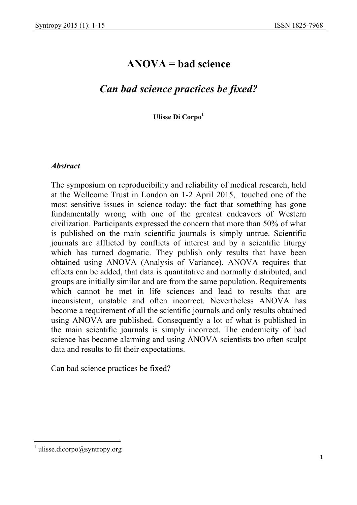# **ANOVA = bad science**

# *Can bad science practices be fixed?*

**Ulisse Di Corpo<sup>1</sup>**

#### *Abstract*

The symposium on reproducibility and reliability of medical research, held at the Wellcome Trust in London on 1-2 April 2015, touched one of the most sensitive issues in science today: the fact that something has gone fundamentally wrong with one of the greatest endeavors of Western civilization. Participants expressed the concern that more than 50% of what is published on the main scientific journals is simply untrue. Scientific journals are afflicted by conflicts of interest and by a scientific liturgy which has turned dogmatic. They publish only results that have been obtained using ANOVA (Analysis of Variance). ANOVA requires that effects can be added, that data is quantitative and normally distributed, and groups are initially similar and are from the same population. Requirements which cannot be met in life sciences and lead to results that are inconsistent, unstable and often incorrect. Nevertheless ANOVA has become a requirement of all the scientific journals and only results obtained using ANOVA are published. Consequently a lot of what is published in the main scientific journals is simply incorrect. The endemicity of bad science has become alarming and using ANOVA scientists too often sculpt data and results to fit their expectations.

Can bad science practices be fixed?

<sup>&</sup>lt;sup>1</sup> ulisse.dicorpo@syntropy.org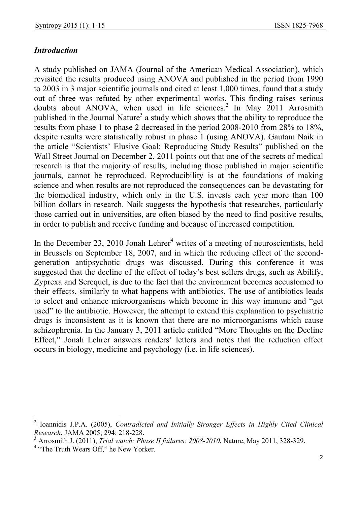## *Introduction*

A study published on JAMA (Journal of the American Medical Association), which revisited the results produced using ANOVA and published in the period from 1990 to 2003 in 3 major scientific journals and cited at least 1,000 times, found that a study out of three was refuted by other experimental works. This finding raises serious doubts about ANOVA, when used in life sciences.<sup>2</sup> In May 2011 Arrosmith published in the Journal Nature<sup>3</sup> a study which shows that the ability to reproduce the results from phase 1 to phase 2 decreased in the period 2008-2010 from 28% to 18%, despite results were statistically robust in phase 1 (using ANOVA). Gautam Naik in the article "Scientists' Elusive Goal: Reproducing Study Results" published on the Wall Street Journal on December 2, 2011 points out that one of the secrets of medical research is that the majority of results, including those published in major scientific journals, cannot be reproduced. Reproducibility is at the foundations of making science and when results are not reproduced the consequences can be devastating for the biomedical industry, which only in the U.S. invests each year more than 100 billion dollars in research. Naik suggests the hypothesis that researches, particularly those carried out in universities, are often biased by the need to find positive results, in order to publish and receive funding and because of increased competition.

In the December 23, 2010 Jonah Lehrer<sup>4</sup> writes of a meeting of neuroscientists, held in Brussels on September 18, 2007, and in which the reducing effect of the secondgeneration antipsychotic drugs was discussed. During this conference it was suggested that the decline of the effect of today's best sellers drugs, such as Abilify, Zyprexa and Serequel, is due to the fact that the environment becomes accustomed to their effects, similarly to what happens with antibiotics. The use of antibiotics leads to select and enhance microorganisms which become in this way immune and "get used" to the antibiotic. However, the attempt to extend this explanation to psychiatric drugs is inconsistent as it is known that there are no microorganisms which cause schizophrenia. In the January 3, 2011 article entitled "More Thoughts on the Decline Effect," Jonah Lehrer answers readers' letters and notes that the reduction effect occurs in biology, medicine and psychology (i.e. in life sciences).

 2 Ioannidis J.P.A. (2005), *Contradicted and Initially Stronger Effects in Highly Cited Clinical Research*, JAMA 2005; 294: 218-228.

<sup>&</sup>lt;sup>3</sup> Arrosmith J. (2011), *Trial watch: Phase II failures: 2008-2010*, Nature, May 2011, 328-329.<br><sup>4</sup> "The Truth Wears Off," he New Yorker.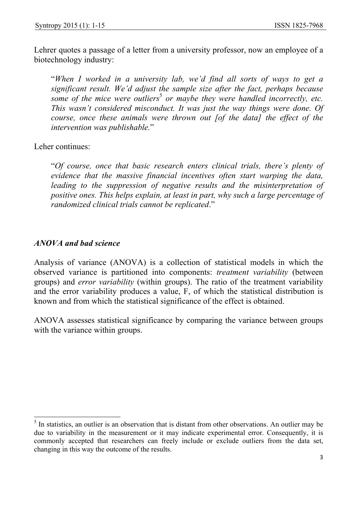Lehrer quotes a passage of a letter from a university professor, now an employee of a biotechnology industry:

"*When I worked in a university lab, we'd find all sorts of ways to get a significant result. We'd adjust the sample size after the fact, perhaps because some of the mice were outliers*<sup>5</sup> or maybe they were handled incorrectly, etc. *This wasn't considered misconduct. It was just the way things were done. Of course, once these animals were thrown out [of the data] the effect of the intervention was publishable.*"

Leher continues:

"*Of course, once that basic research enters clinical trials, there's plenty of evidence that the massive financial incentives often start warping the data,*  leading to the suppression of negative results and the misinterpretation of *positive ones. This helps explain, at least in part, why such a large percentage of randomized clinical trials cannot be replicated*."

#### *ANOVA and bad science*

Analysis of variance (ANOVA) is a collection of statistical models in which the observed variance is partitioned into components: *treatment variability* (between groups) and *error variability* (within groups). The ratio of the treatment variability and the error variability produces a value, F, of which the statistical distribution is known and from which the statistical significance of the effect is obtained.

ANOVA assesses statistical significance by comparing the variance between groups with the variance within groups.

<sup>&</sup>lt;sup>5</sup> In statistics, an outlier is an observation that is distant from other observations. An outlier may be due to variability in the measurement or it may indicate experimental error. Consequently, it is commonly accepted that researchers can freely include or exclude outliers from the data set, changing in this way the outcome of the results.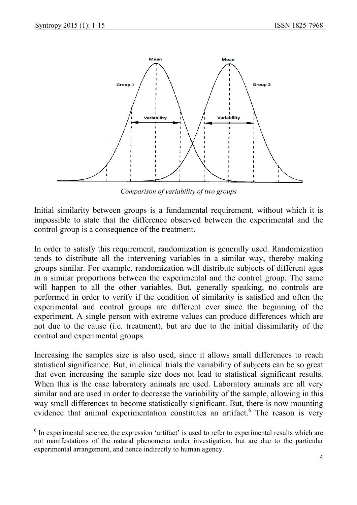

*Comparison of variability of two groups* 

Initial similarity between groups is a fundamental requirement, without which it is impossible to state that the difference observed between the experimental and the control group is a consequence of the treatment.

In order to satisfy this requirement, randomization is generally used. Randomization tends to distribute all the intervening variables in a similar way, thereby making groups similar. For example, randomization will distribute subjects of different ages in a similar proportions between the experimental and the control group. The same will happen to all the other variables. But, generally speaking, no controls are performed in order to verify if the condition of similarity is satisfied and often the experimental and control groups are different ever since the beginning of the experiment. A single person with extreme values can produce differences which are not due to the cause (i.e. treatment), but are due to the initial dissimilarity of the control and experimental groups.

Increasing the samples size is also used, since it allows small differences to reach statistical significance. But, in clinical trials the variability of subjects can be so great that even increasing the sample size does not lead to statistical significant results. When this is the case laboratory animals are used. Laboratory animals are all very similar and are used in order to decrease the variability of the sample, allowing in this way small differences to become statistically significant. But, there is now mounting evidence that animal experimentation constitutes an artifact. $6$  The reason is very

 $\overline{\phantom{a}}$  $6$  In experimental science, the expression 'artifact' is used to refer to experimental results which are not manifestations of the natural phenomena under investigation, but are due to the particular experimental arrangement, and hence indirectly to human agency.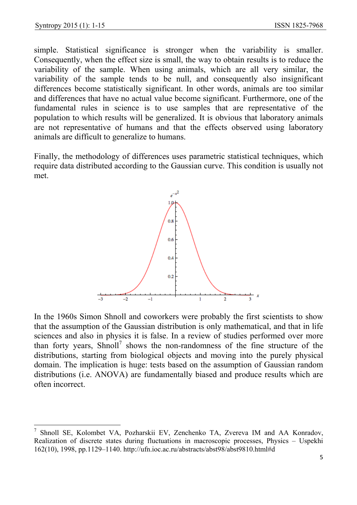simple. Statistical significance is stronger when the variability is smaller. Consequently, when the effect size is small, the way to obtain results is to reduce the variability of the sample. When using animals, which are all very similar, the variability of the sample tends to be null, and consequently also insignificant differences become statistically significant. In other words, animals are too similar and differences that have no actual value become significant. Furthermore, one of the fundamental rules in science is to use samples that are representative of the population to which results will be generalized. It is obvious that laboratory animals are not representative of humans and that the effects observed using laboratory animals are difficult to generalize to humans.

Finally, the methodology of differences uses parametric statistical techniques, which require data distributed according to the Gaussian curve. This condition is usually not met.



In the 1960s Simon Shnoll and coworkers were probably the first scientists to show that the assumption of the Gaussian distribution is only mathematical, and that in life sciences and also in physics it is false. In a review of studies performed over more than forty years,  $Shnoll<sup>7</sup>$  shows the non-randomness of the fine structure of the distributions, starting from biological objects and moving into the purely physical domain. The implication is huge: tests based on the assumption of Gaussian random distributions (i.e. ANOVA) are fundamentally biased and produce results which are often incorrect.

 $\overline{\phantom{a}}$ <sup>7</sup> Shnoll SE, Kolombet VA, Pozharskii EV, Zenchenko TA, Zvereva IM and AA Konradov, Realization of discrete states during fluctuations in macroscopic processes, Physics – Uspekhi 162(10), 1998, pp.1129–1140. http://ufn.ioc.ac.ru/abstracts/abst98/abst9810.html#d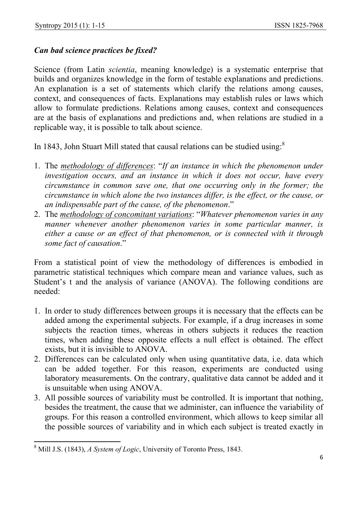### *Can bad science practices be fixed?*

Science (from Latin *scientia*, meaning knowledge) is a systematic enterprise that builds and organizes knowledge in the form of testable explanations and predictions. An explanation is a set of statements which clarify the relations among causes, context, and consequences of facts. Explanations may establish rules or laws which allow to formulate predictions. Relations among causes, context and consequences are at the basis of explanations and predictions and, when relations are studied in a replicable way, it is possible to talk about science.

In 1843, John Stuart Mill stated that causal relations can be studied using:<sup>8</sup>

- 1. The *methodology of differences*: "*If an instance in which the phenomenon under investigation occurs, and an instance in which it does not occur, have every circumstance in common save one, that one occurring only in the former; the circumstance in which alone the two instances differ, is the effect, or the cause, or an indispensable part of the cause, of the phenomenon*."
- 2. The *methodology of concomitant variations*: "*Whatever phenomenon varies in any manner whenever another phenomenon varies in some particular manner, is either a cause or an effect of that phenomenon, or is connected with it through some fact of causation*."

From a statistical point of view the methodology of differences is embodied in parametric statistical techniques which compare mean and variance values, such as Student's t and the analysis of variance (ANOVA). The following conditions are needed:

- 1. In order to study differences between groups it is necessary that the effects can be added among the experimental subjects. For example, if a drug increases in some subjects the reaction times, whereas in others subjects it reduces the reaction times, when adding these opposite effects a null effect is obtained. The effect exists, but it is invisible to ANOVA.
- 2. Differences can be calculated only when using quantitative data, i.e. data which can be added together. For this reason, experiments are conducted using laboratory measurements. On the contrary, qualitative data cannot be added and it is unsuitable when using ANOVA.
- 3. All possible sources of variability must be controlled. It is important that nothing, besides the treatment, the cause that we administer, can influence the variability of groups. For this reason a controlled environment, which allows to keep similar all the possible sources of variability and in which each subject is treated exactly in

 8 Mill J.S. (1843), *A System of Logic*, University of Toronto Press, 1843.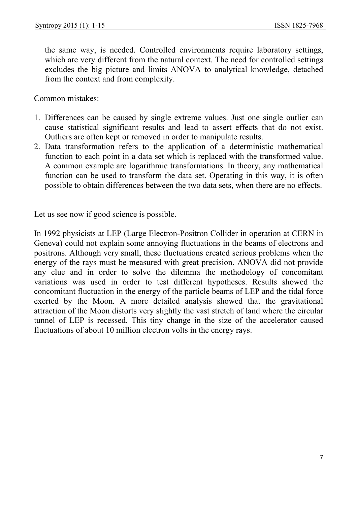the same way, is needed. Controlled environments require laboratory settings, which are very different from the natural context. The need for controlled settings excludes the big picture and limits ANOVA to analytical knowledge, detached from the context and from complexity.

Common mistakes:

- 1. Differences can be caused by single extreme values. Just one single outlier can cause statistical significant results and lead to assert effects that do not exist. Outliers are often kept or removed in order to manipulate results.
- 2. Data transformation refers to the application of a deterministic mathematical function to each point in a data set which is replaced with the transformed value. A common example are logarithmic transformations. In theory, any mathematical function can be used to transform the data set. Operating in this way, it is often possible to obtain differences between the two data sets, when there are no effects.

Let us see now if good science is possible.

In 1992 physicists at LEP (Large Electron-Positron Collider in operation at CERN in Geneva) could not explain some annoying fluctuations in the beams of electrons and positrons. Although very small, these fluctuations created serious problems when the energy of the rays must be measured with great precision. ANOVA did not provide any clue and in order to solve the dilemma the methodology of concomitant variations was used in order to test different hypotheses. Results showed the concomitant fluctuation in the energy of the particle beams of LEP and the tidal force exerted by the Moon. A more detailed analysis showed that the gravitational attraction of the Moon distorts very slightly the vast stretch of land where the circular tunnel of LEP is recessed. This tiny change in the size of the accelerator caused fluctuations of about 10 million electron volts in the energy rays.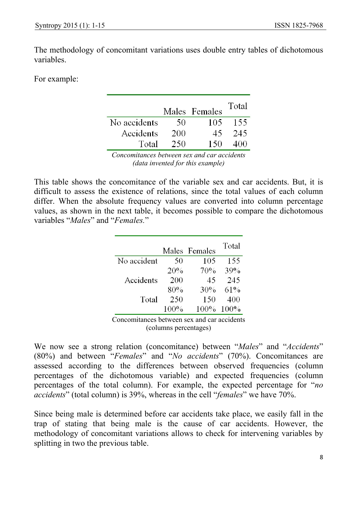The methodology of concomitant variations uses double entry tables of dichotomous variables.

For example:

|              |     | Males Females | Total |
|--------------|-----|---------------|-------|
| No accidents | 50  | 105           | 155   |
| Accidents    | 200 | 45            | 245   |
| Total        | 250 | 150           | 400   |

*Concomitances between sex and car accidents (data invented for this example)*

This table shows the concomitance of the variable sex and car accidents. But, it is difficult to assess the existence of relations, since the total values of each column differ. When the absolute frequency values are converted into column percentage values, as shown in the next table, it becomes possible to compare the dichotomous variables "*Males*" and "*Females.*"

|             |      | Males Females | Total        |
|-------------|------|---------------|--------------|
| No accident | 50   | 105           | 155          |
|             | 20%  | 70%           | 39%          |
| Accidents   | 200  | 45            | 245          |
|             | 80%  | 30%           | 61%          |
| Total       | 250  | 150           | 400          |
|             | 100% |               | $100\%$ 100% |

Concomitances between sex and car accidents (columns percentages)

We now see a strong relation (concomitance) between "*Males*" and "*Accidents*" (80%) and between "*Females*" and "*No accidents*" (70%). Concomitances are assessed according to the differences between observed frequencies (column percentages of the dichotomous variable) and expected frequencies (column percentages of the total column). For example, the expected percentage for "*no accidents*" (total column) is 39%, whereas in the cell "*females*" we have 70%.

Since being male is determined before car accidents take place, we easily fall in the trap of stating that being male is the cause of car accidents. However, the methodology of concomitant variations allows to check for intervening variables by splitting in two the previous table.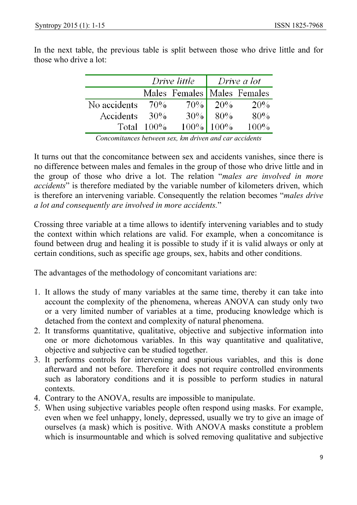|              | Drive little  |                             | Drive a lot                                                                                            |      |
|--------------|---------------|-----------------------------|--------------------------------------------------------------------------------------------------------|------|
|              |               | Males Females Males Females |                                                                                                        |      |
| No accidents | 70%           |                             | $\begin{array}{ c c } \hline 70\% & 20\% \\ \hline 30\% & 80\% \\ 100\% & 100\% \\ \hline \end{array}$ | 20%  |
| Accidents    | $30\%$        |                             |                                                                                                        | 80%  |
|              | Total $100\%$ |                             |                                                                                                        | 100% |

In the next table, the previous table is split between those who drive little and for those who drive a lot:

*Concomitances between sex, km driven and car accidents* 

It turns out that the concomitance between sex and accidents vanishes, since there is no difference between males and females in the group of those who drive little and in the group of those who drive a lot. The relation "*males are involved in more accidents*" is therefore mediated by the variable number of kilometers driven, which is therefore an intervening variable. Consequently the relation becomes "*males drive a lot and consequently are involved in more accidents.*"

Crossing three variable at a time allows to identify intervening variables and to study the context within which relations are valid. For example, when a concomitance is found between drug and healing it is possible to study if it is valid always or only at certain conditions, such as specific age groups, sex, habits and other conditions.

The advantages of the methodology of concomitant variations are:

- 1. It allows the study of many variables at the same time, thereby it can take into account the complexity of the phenomena, whereas ANOVA can study only two or a very limited number of variables at a time, producing knowledge which is detached from the context and complexity of natural phenomena.
- 2. It transforms quantitative, qualitative, objective and subjective information into one or more dichotomous variables. In this way quantitative and qualitative, objective and subjective can be studied together.
- 3. It performs controls for intervening and spurious variables, and this is done afterward and not before. Therefore it does not require controlled environments such as laboratory conditions and it is possible to perform studies in natural contexts.
- 4. Contrary to the ANOVA, results are impossible to manipulate.
- 5. When using subjective variables people often respond using masks. For example, even when we feel unhappy, lonely, depressed, usually we try to give an image of ourselves (a mask) which is positive. With ANOVA masks constitute a problem which is insurmountable and which is solved removing qualitative and subjective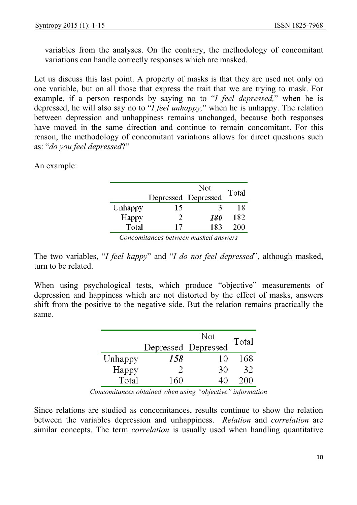variables from the analyses. On the contrary, the methodology of concomitant variations can handle correctly responses which are masked.

Let us discuss this last point. A property of masks is that they are used not only on one variable, but on all those that express the trait that we are trying to mask. For example, if a person responds by saying no to "*I feel depressed,*" when he is depressed, he will also say no to "*I feel unhappy,*" when he is unhappy. The relation between depression and unhappiness remains unchanged, because both responses have moved in the same direction and continue to remain concomitant. For this reason, the methodology of concomitant variations allows for direct questions such as: "*do you feel depressed*?"

An example:

|         |                     | Not        | Total |
|---------|---------------------|------------|-------|
|         | Depressed Depressed |            |       |
| Unhappy | 15                  | К          | 18    |
| Happy   | $\mathcal{D}$       | <i>180</i> | 182   |
| Total   | 17                  | 183        | 200   |

*Concomitances between masked answers* 

The two variables, "*I feel happy*" and "*I do not feel depressed*", although masked, turn to be related.

When using psychological tests, which produce "objective" measurements of depression and happiness which are not distorted by the effect of masks, answers shift from the positive to the negative side. But the relation remains practically the same.

|         |     | Not                 | Total |
|---------|-----|---------------------|-------|
|         |     | Depressed Depressed |       |
| Unhappy | 158 | 10                  | 168   |
| Happy   |     | 30                  | 32    |
| Total   | 160 |                     | 200   |

*Concomitances obtained when using "objective" information* 

Since relations are studied as concomitances, results continue to show the relation between the variables depression and unhappiness. *Relation* and *correlation* are similar concepts. The term *correlation* is usually used when handling quantitative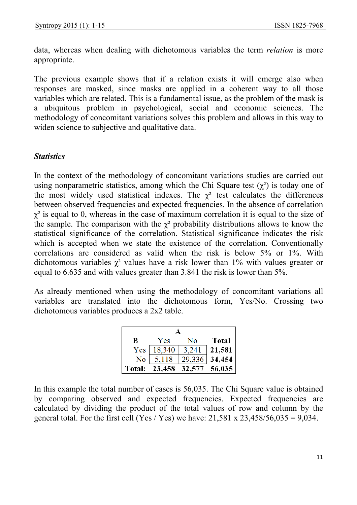data, whereas when dealing with dichotomous variables the term *relation* is more appropriate.

The previous example shows that if a relation exists it will emerge also when responses are masked, since masks are applied in a coherent way to all those variables which are related. This is a fundamental issue, as the problem of the mask is a ubiquitous problem in psychological, social and economic sciences. The methodology of concomitant variations solves this problem and allows in this way to widen science to subjective and qualitative data.

#### *Statistics*

In the context of the methodology of concomitant variations studies are carried out using nonparametric statistics, among which the Chi Square test  $(\chi^2)$  is today one of the most widely used statistical indexes. The  $\chi^2$  test calculates the differences between observed frequencies and expected frequencies. In the absence of correlation  $\gamma^2$  is equal to 0, whereas in the case of maximum correlation it is equal to the size of the sample. The comparison with the  $\chi^2$  probability distributions allows to know the statistical significance of the correlation. Statistical significance indicates the risk which is accepted when we state the existence of the correlation. Conventionally correlations are considered as valid when the risk is below 5% or 1%. With dichotomous variables  $\chi^2$  values have a risk lower than 1% with values greater or equal to 6.635 and with values greater than 3.841 the risk is lower than 5%.

As already mentioned when using the methodology of concomitant variations all variables are translated into the dichotomous form, Yes/No. Crossing two dichotomous variables produces a 2x2 table.

| B                | Yes                         | No     | <b>Total</b> |  |
|------------------|-----------------------------|--------|--------------|--|
| Yes <sub>1</sub> | 18,340                      | 3,241  | 21,581       |  |
| No               | 5,118                       | 29,336 | 34,454       |  |
|                  | Total: 23,458 32,577 56,035 |        |              |  |

In this example the total number of cases is 56,035. The Chi Square value is obtained by comparing observed and expected frequencies. Expected frequencies are calculated by dividing the product of the total values of row and column by the general total. For the first cell (Yes / Yes) we have:  $21,581 \times 23,458/56,035 = 9,034$ .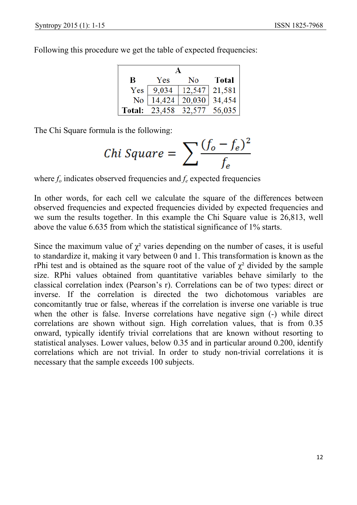Following this procedure we get the table of expected frequencies:

| B      | Yes           | No                | <b>Total</b> |  |
|--------|---------------|-------------------|--------------|--|
| Yes    | 9,034         | $12,547$   21,581 |              |  |
| No     | 14,424        | 20,030            | 34,454       |  |
| Total: | 23,458 32,577 |                   | 56,035       |  |

The Chi Square formula is the following:

$$
Chi Square = \sum \frac{(f_o - f_e)^2}{f_e}
$$

where  $f<sub>o</sub>$  indicates observed frequencies and  $f<sub>e</sub>$  expected frequencies

In other words, for each cell we calculate the square of the differences between observed frequencies and expected frequencies divided by expected frequencies and we sum the results together. In this example the Chi Square value is 26,813, well above the value 6.635 from which the statistical significance of 1% starts.

Since the maximum value of  $\chi^2$  varies depending on the number of cases, it is useful to standardize it, making it vary between 0 and 1. This transformation is known as the rPhi test and is obtained as the square root of the value of  $\chi^2$  divided by the sample size. RPhi values obtained from quantitative variables behave similarly to the classical correlation index (Pearson's r). Correlations can be of two types: direct or inverse. If the correlation is directed the two dichotomous variables are concomitantly true or false, whereas if the correlation is inverse one variable is true when the other is false. Inverse correlations have negative sign (-) while direct correlations are shown without sign. High correlation values, that is from 0.35 onward, typically identify trivial correlations that are known without resorting to statistical analyses. Lower values, below 0.35 and in particular around 0.200, identify correlations which are not trivial. In order to study non-trivial correlations it is necessary that the sample exceeds 100 subjects.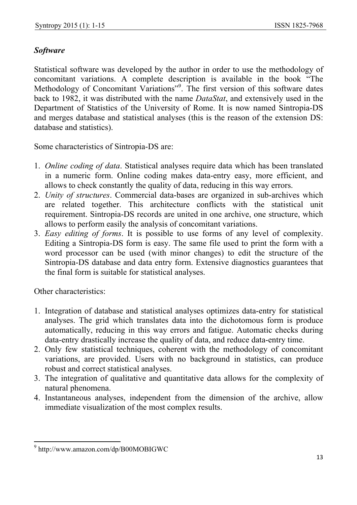## *Software*

Statistical software was developed by the author in order to use the methodology of concomitant variations. A complete description is available in the book "The Methodology of Concomitant Variations"<sup>9</sup>. The first version of this software dates back to 1982, it was distributed with the name *DataStat*, and extensively used in the Department of Statistics of the University of Rome. It is now named Sintropia-DS and merges database and statistical analyses (this is the reason of the extension DS: database and statistics).

Some characteristics of Sintropia-DS are:

- 1. *Online coding of data*. Statistical analyses require data which has been translated in a numeric form. Online coding makes data-entry easy, more efficient, and allows to check constantly the quality of data, reducing in this way errors.
- 2. *Unity of structures*. Commercial data-bases are organized in sub-archives which are related together. This architecture conflicts with the statistical unit requirement. Sintropia-DS records are united in one archive, one structure, which allows to perform easily the analysis of concomitant variations.
- 3. *Easy editing of forms*. It is possible to use forms of any level of complexity. Editing a Sintropia-DS form is easy. The same file used to print the form with a word processor can be used (with minor changes) to edit the structure of the Sintropia-DS database and data entry form. Extensive diagnostics guarantees that the final form is suitable for statistical analyses.

Other characteristics:

- 1. Integration of database and statistical analyses optimizes data-entry for statistical analyses. The grid which translates data into the dichotomous form is produce automatically, reducing in this way errors and fatigue. Automatic checks during data-entry drastically increase the quality of data, and reduce data-entry time.
- 2. Only few statistical techniques, coherent with the methodology of concomitant variations, are provided. Users with no background in statistics, can produce robust and correct statistical analyses.
- 3. The integration of qualitative and quantitative data allows for the complexity of natural phenomena.
- 4. Instantaneous analyses, independent from the dimension of the archive, allow immediate visualization of the most complex results.

 9 http://www.amazon.com/dp/B00MOBIGWC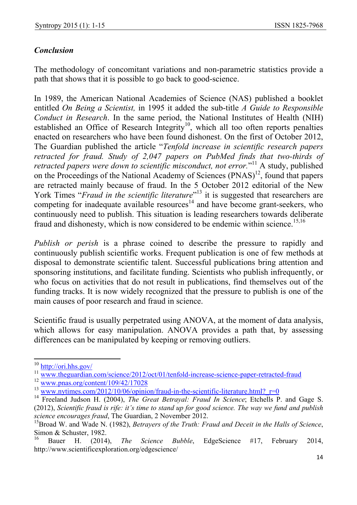# *Conclusion*

The methodology of concomitant variations and non-parametric statistics provide a path that shows that it is possible to go back to good-science.

In 1989, the American National Academies of Science (NAS) published a booklet entitled *On Being a Scientist,* in 1995 it added the sub-title *A Guide to Responsible Conduct in Research*. In the same period, the National Institutes of Health (NIH) established an Office of Research Integrity<sup>10</sup>, which all too often reports penalties enacted on researchers who have been found dishonest. On the first of October 2012, The Guardian published the article "*Tenfold increase in scientific research papers retracted for fraud. Study of 2,047 papers on PubMed finds that two-thirds of*  retracted papers were down to scientific misconduct, not error."<sup>11</sup> A study, published on the Proceedings of the National Academy of Sciences (PNAS)<sup>12</sup>, found that papers are retracted mainly because of fraud. In the 5 October 2012 editorial of the New York Times "*Fraud in the scientific literature*"<sup>13</sup> it is suggested that researchers are competing for inadequate available resources<sup>14</sup> and have become grant-seekers, who continuously need to publish. This situation is leading researchers towards deliberate fraud and dishonesty, which is now considered to be endemic within science.<sup>15,16</sup>

*Publish or perish* is a phrase coined to describe the pressure to rapidly and continuously publish scientific works. Frequent publication is one of few methods at disposal to demonstrate scientific talent. Successful publications bring attention and sponsoring institutions, and facilitate funding. Scientists who publish infrequently, or who focus on activities that do not result in publications, find themselves out of the funding tracks. It is now widely recognized that the pressure to publish is one of the main causes of poor research and fraud in science.

Scientific fraud is usually perpetrated using ANOVA, at the moment of data analysis, which allows for easy manipulation. ANOVA provides a path that, by assessing differences can be manipulated by keeping or removing outliers.

 $\overline{a}$ 

 $\frac{10 \text{ http://ori.hhs.gov/">http://ori.hhs.gov/}}{11 \text{ www.theguardian.com/science/2012/oct/01/tenfold-increase-science-paper-retracted-fraud}}$   $\frac{12 \text{ www.pnas.org/content/109/42/17028}}{13 \text{ www.nytimes.com/2012/10/06/opinion/fraud-in-the-scientific-literature.html? r=0}}$   $\frac{13 \text{ www.nytimes.com/2012/10/06/opinion/fraud-in-the-scientific-literature.html? r=0}}{14 \text{ Freeland Judson$ (2012), *Scientific fraud is rife: it's time to stand up for good science. The way we fund and publish science encourages fraud*, The Guardian, 2 November 2012.

<sup>15</sup>Broad W. and Wade N. (1982), *Betrayers of the Truth: Fraud and Deceit in the Halls of Science*, Simon & Schuster, 1982.

<sup>16</sup> Bauer H. (2014), *The Science Bubble*, EdgeScience #17, February 2014, http://www.scientificexploration.org/edgescience/